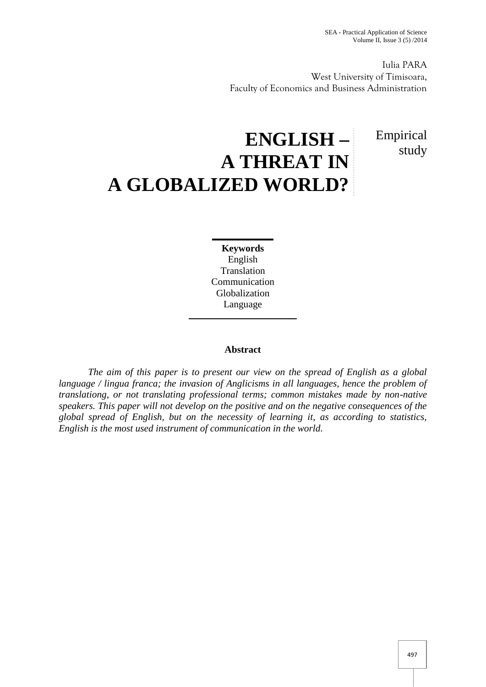Empirical

study

Iulia PARA West University of Timisoara, Faculty of Economics and Business Administration

## **ENGLISH – A THREAT IN A GLOBALIZED WORLD?**

**Keywords** English Translation Communication Globalization Language

## **Abstract**

*The aim of this paper is to present our view on the spread of English as a global language / lingua franca; the invasion of Anglicisms in all languages, hence the problem of translationg, or not translating professional terms; common mistakes made by non-native speakers. This paper will not develop on the positive and on the negative consequences of the global spread of English, but on the necessity of learning it, as according to statistics, English is the most used instrument of communication in the world.*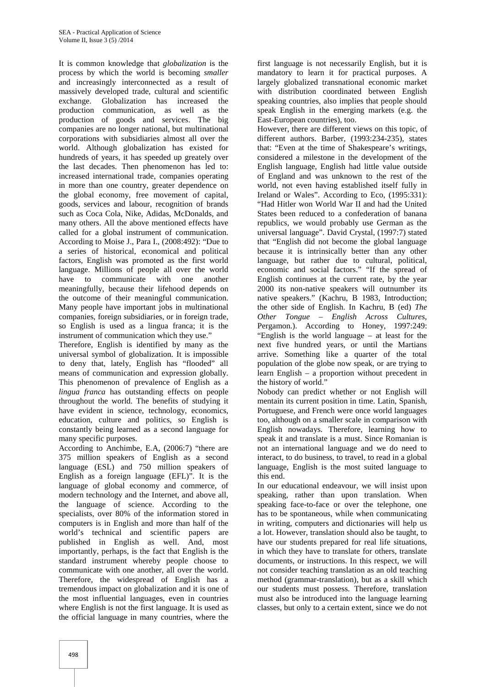It is common knowledge that *globalization* is the process by which the world is becoming *smaller* and increasingly interconnected as a result of massively developed trade, cultural and scientific exchange. Globalization has increased the production communication, as well as the production of goods and services. The big companies are no longer national, but multinational corporations with subsidiaries almost all over the world. Although globalization has existed for hundreds of years, it has speeded up greately over the last decades. Then phenomenon has led to: increased international trade, companies operating in more than one country, greater dependence on the global economy, free movement of capital, goods, services and labour, recognition of brands such as Coca Cola, Nike, Adidas, McDonalds, and many others. All the above mentioned effects have called for a global instrument of communication. According to Moise J., Para I., (2008:492): "Due to a series of historical, economical and political factors, English was promoted as the first world language. Millions of people all over the world have to communicate with one another meaningfully, because their lifehood depends on the outcome of their meaningful communication. Many people have important jobs in multinational companies, foreign subsidiaries, or in foreign trade, so English is used as a lingua franca; it is the instrument of communication which they use."

Therefore, English is identified by many as the universal symbol of globalization. It is impossible to deny that, lately, English has "flooded" all means of communication and expression globally. This phenomenon of prevalence of English as a *lingua franca* has outstanding effects on people throughout the world. The benefits of studying it have evident in science, technology, economics, education, culture and politics, so English is constantly being learned as a second language for many specific purposes.

According to Anchimbe, E.A, (2006:7) "there are 375 million speakers of English as a second language (ESL) and 750 million speakers of English as a foreign language (EFL)". It is the language of global economy and commerce, of modern technology and the Internet, and above all, the language of science. According to the specialists, over 80% of the information stored in computers is in English and more than half of the world's technical and scientific papers are published in English as well. And, most importantly, perhaps, is the fact that English is the standard instrument whereby people choose to communicate with one another, all over the world. Therefore, the widespread of English has a tremendous impact on globalization and it is one of the most influential languages, even in countries where English is not the first language. It is used as the official language in many countries, where the

first language is not necessarily English, but it is mandatory to learn it for practical purposes. A largely globalized transnational economic market with distribution coordinated between English speaking countries, also implies that people should speak English in the emerging markets (e.g. the East-European countries), too.

However, there are different views on this topic, of different authors. Barber, (1993:234-235), states that: "Even at the time of Shakespeare's writings, considered a milestone in the development of the English language, English had little value outside of England and was unknown to the rest of the world, not even having established itself fully in Ireland or Wales". According to Eco, (1995:331): "Had Hitler won World War II and had the United States been reduced to a confederation of banana republics, we would probably use German as the universal language". David Crystal, (1997:7) stated that "English did not become the global language because it is intrinsically better than any other language, but rather due to cultural, political, economic and social factors." "If the spread of English continues at the current rate, by the year 2000 its non-native speakers will outnumber its native speakers." (Kachru, B 1983, Introduction; the other side of English. In Kachru, B (ed) *The Other Tongue – English Across Cultures*, Pergamon.). According to Honey, 1997:249: "English is the world language – at least for the next five hundred years, or until the Martians arrive. Something like a quarter of the total population of the globe now speak, or are trying to learn English – a proportion without precedent in the history of world."

Nobody can predict whether or not English will mentain its current position in time. Latin, Spanish, Portuguese, and French were once world languages too, although on a smaller scale in comparison with English nowadays. Therefore, learning how to speak it and translate is a must. Since Romanian is not an international language and we do need to interact, to do business, to travel, to read in a global language, English is the most suited language to this end.

In our educational endeavour, we will insist upon speaking, rather than upon translation. When speaking face-to-face or over the telephone, one has to be spontaneous, while when communicating in writing, computers and dictionaries will help us a lot. However, translation should also be taught, to have our students prepared for real life situations, in which they have to translate for others, translate documents, or instructions. In this respect, we will not consider teaching translation as an old teaching method (grammar-translation), but as a skill which our students must possess. Therefore, translation must also be introduced into the language learning classes, but only to a certain extent, since we do not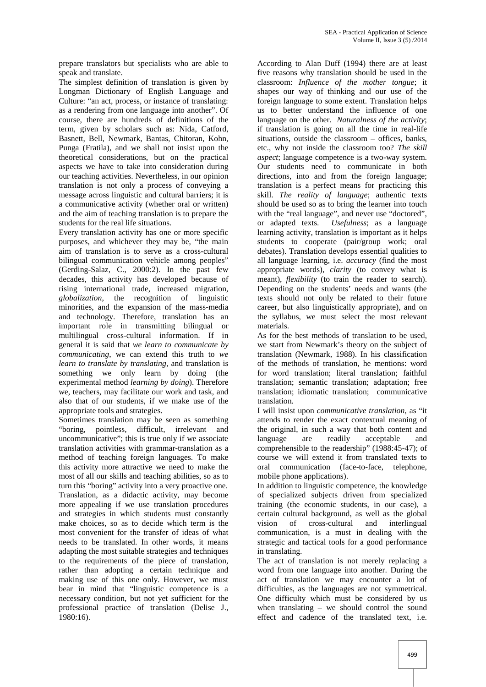prepare translators but specialists who are able to speak and translate.

The simplest definition of translation is given by Longman Dictionary of English Language and Culture: "an act, process, or instance of translating: as a rendering from one language into another". Of course, there are hundreds of definitions of the term, given by scholars such as: Nida, Catford, Basnett, Bell, Newmark, Bantas, Chitoran, Kohn, Punga (Fratila), and we shall not insist upon the theoretical considerations, but on the practical aspects we have to take into consideration during our teaching activities. Nevertheless, in our opinion translation is not only a process of conveying a message across linguistic and cultural barriers; it is a communicative activity (whether oral or written) and the aim of teaching translation is to prepare the students for the real life situations.

Every translation activity has one or more specific purposes, and whichever they may be, "the main aim of translation is to serve as a cross-cultural bilingual communication vehicle among peoples" (Gerding-Salaz, C., 2000:2). In the past few decades, this activity has developed because of rising international trade, increased migration, globalization, the recognition of linguistic the recognition of linguistic minorities, and the expansion of the mass-media and technology. Therefore, translation has an important role in transmitting bilingual or multilingual cross-cultural information. If in general it is said that *we learn to communicate by communicating*, we can extend this truth to *we learn to translate by translating,* and translation is something we only learn by doing (the experimental method *learning by doing*). Therefore we, teachers, may facilitate our work and task, and also that of our students, if we make use of the appropriate tools and strategies.

Sometimes translation may be seen as something "boring, pointless, difficult, irrelevant and uncommunicative"; this is true only if we associate translation activities with grammar-translation as a method of teaching foreign languages. To make this activity more attractive we need to make the most of all our skills and teaching abilities, so as to turn this "boring" activity into a very proactive one. Translation, as a didactic activity, may become more appealing if we use translation procedures and strategies in which students must constantly make choices, so as to decide which term is the most convenient for the transfer of ideas of what needs to be translated. In other words, it means adapting the most suitable strategies and techniques to the requirements of the piece of translation, rather than adopting a certain technique and making use of this one only. However, we must bear in mind that "linguistic competence is a necessary condition, but not yet sufficient for the professional practice of translation (Delise J., 1980:16).

According to Alan Duff (1994) there are at least five reasons why translation should be used in the classroom: *Influence of the mother tongue*; it shapes our way of thinking and our use of the foreign language to some extent. Translation helps us to better understand the influence of one language on the other. *Naturalness of the activity*; if translation is going on all the time in real-life situations, outside the classroom – offices, banks, etc., why not inside the classroom too? *The skill aspect*; language competence is a two-way system. Our students need to communicate in both directions, into and from the foreign language; translation is a perfect means for practicing this skill. *The reality of language*; authentic texts should be used so as to bring the learner into touch with the "real language", and never use "doctored", or adapted texts. *Usefulness*; as a language learning activity, translation is important as it helps students to cooperate (pair/group work; oral debates). Translation develops essential qualities to all language learning, i.e. *accuracy* (find the most appropriate words), *clarity* (to convey what is meant), *flexibility* (to train the reader to search). Depending on the students' needs and wants (the texts should not only be related to their future career, but also linguistically appropriate), and on the syllabus, we must select the most relevant materials.

As for the best methods of translation to be used, we start from Newmark's theory on the subject of translation (Newmark, 1988). In his classification of the methods of translation, he mentions: word for word translation; literal translation; faithful translation; semantic translation; adaptation; free translation; idiomatic translation; communicative translation*.*

I will insist upon *communicative translation*, as "it attends to render the exact contextual meaning of the original, in such a way that both content and language are readily acceptable and comprehensible to the readership" (1988:45-47); of course we will extend it from translated texts to oral communication (face-to-face, telephone, mobile phone applications).

In addition to linguistic competence, the knowledge of specialized subjects driven from specialized training (the economic students, in our case), a certain cultural background, as well as the global vision of cross-cultural and interlingual communication, is a must in dealing with the strategic and tactical tools for a good performance in translating.

The act of translation is not merely replacing a word from one language into another. During the act of translation we may encounter a lot of difficulties, as the languages are not symmetrical. One difficulty which must be considered by us when translating – we should control the sound effect and cadence of the translated text, i.e.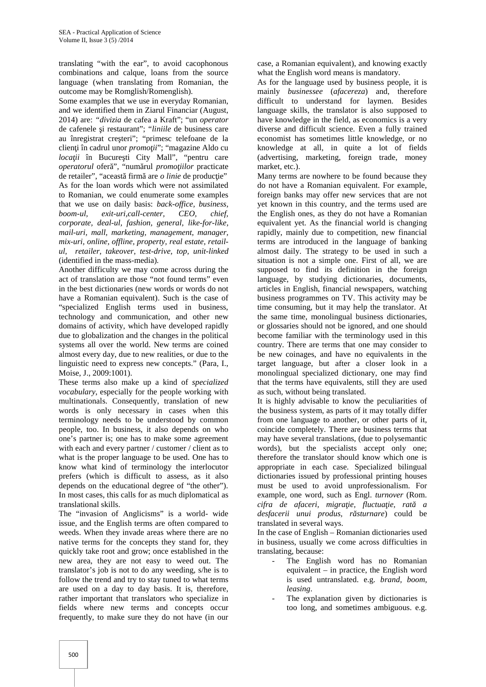translating "with the ear", to avoid cacophonous combinations and calque, loans from the source language (when translating from Romanian, the outcome may be Romglish/Romenglish).

Some examples that we use in everyday Romanian, and we identified them in Ziarul Financiar (August, 2014) are: *"divizia* de cafea a Kraft"; "un *operator* de cafenele i restaurant"; "*liniile* de business care au înregistrat cre teri"; "primesc telefoane de la clien i în cadrul unor *promo ii*"; "magazine Aldo cu *loca ii* în Bucure ti City Mall", "pentru care *operatorul* ofer ", "num rul *promo iilor* practicate de retailer", "aceast firm are *o linie* de produc ie" As for the loan words which were not assimilated to Romanian, we could enumerate some examples that we use on daily basis: *back-office, business, boom-ul, exit-uri,call-center, CEO, chief, corporate, deal-ul, fashion, general, like-for-like, mail-uri, mall, marketing, management, manager, mix-uri, online, offline, property, real estate, retail ul, retailer, takeover, test-drive, top, unit-linked* (identified in the mass-media)*.*

Another difficulty we may come across during the act of translation are those "not found terms" even in the best dictionaries (new words or words do not have a Romanian equivalent). Such is the case of "specialized English terms used in business, technology and communication, and other new domains of activity, which have developed rapidly due to globalization and the changes in the political systems all over the world. New terms are coined almost every day, due to new realities, or due to the linguistic need to express new concepts." (Para, I., Moise, J., 2009:1001).

These terms also make up a kind of *specialized vocabulary*, especially for the people working with multinationals. Consequently, translation of new words is only necessary in cases when this terminology needs to be understood by common people, too. In business, it also depends on who one's partner is; one has to make some agreement with each and every partner / customer / client as to what is the proper language to be used. One has to know what kind of terminology the interlocutor prefers (which is difficult to assess, as it also depends on the educational degree of "the other"). In most cases, this calls for as much diplomatical as translational skills.

The "invasion of Anglicisms" is a world- wide issue, and the English terms are often compared to weeds. When they invade areas where there are no native terms for the concepts they stand for, they quickly take root and grow; once established in the new area, they are not easy to weed out. The translator's job is not to do any weeding, s/he is to follow the trend and try to stay tuned to what terms are used on a day to day basis. It is, therefore, rather important that translators who specialize in fields where new terms and concepts occur frequently, to make sure they do not have (in our

case, a Romanian equivalent), and knowing exactly what the English word means is mandatory.

As for the language used by business people, it is mainly *businessee* (*afacereza*) and, therefore difficult to understand for laymen. Besides language skills, the translator is also supposed to have knowledge in the field, as economics is a very diverse and difficult science. Even a fully trained economist has sometimes little knowledge, or no knowledge at all, in quite a lot of fields (advertising, marketing, foreign trade, money market, etc.).

Many terms are nowhere to be found because they do not have a Romanian equivalent. For example, foreign banks may offer new services that are not yet known in this country, and the terms used are the English ones, as they do not have a Romanian equivalent yet. As the financial world is changing rapidly, mainly due to competition, new financial terms are introduced in the language of banking almost daily. The strategy to be used in such a situation is not a simple one. First of all, we are supposed to find its definition in the foreign language, by studying dictionaries, documents, articles in English, financial newspapers, watching business programmes on TV. This activity may be time consuming, but it may help the translator. At the same time, monolingual business dictionaries, or glossaries should not be ignored, and one should become familiar with the terminology used in this country. There are terms that one may consider to be new coinages, and have no equivalents in the target language, but after a closer look in a monolingual specialized dictionary, one may find that the terms have equivalents, still they are used as such, without being translated.

It is highly advisable to know the peculiarities of the business system, as parts of it may totally differ from one language to another, or other parts of it, coincide completely. There are business terms that may have several translations, (due to polysemantic words), but the specialists accept only one; therefore the translator should know which one is appropriate in each case. Specialized bilingual dictionaries issued by professional printing houses must be used to avoid unprofessionalism. For example, one word, such as Engl. *turnover* (Rom. *cifra de afaceri, migra ie, fluctua ie, rat a desfacerii unui produs, răsturnare*) could be translated in several ways.

In the case of English – Romanian dictionaries used in business, usually we come across difficulties in translating, because:

- The English word has no Romanian equivalent – in practice, the English word is used untranslated. e.g. *brand, boom, leasing*.
- The explanation given by dictionaries is too long, and sometimes ambiguous. e.g.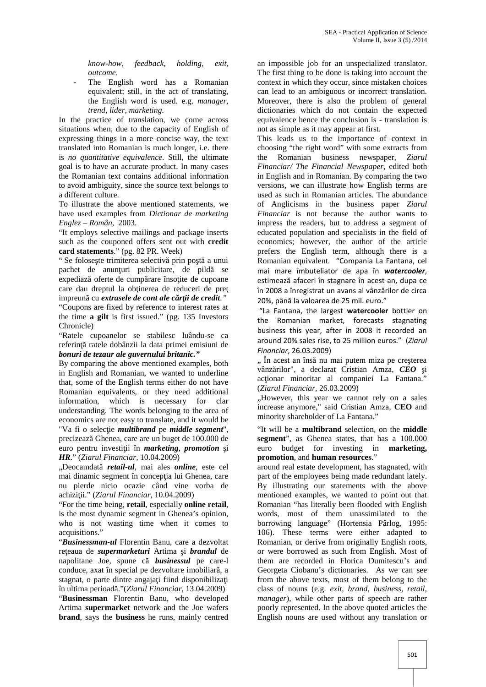*know-how, feedback, holding, exit, outcome*.

The English word has a Romanian equivalent; still, in the act of translating, the English word is used. e.g. *manager, trend, lider, marketing.*

In the practice of translation, we come across situations when, due to the capacity of English of expressing things in a more concise way, the text translated into Romanian is much longer, i.e. there is *no quantitative equivalence*. Still, the ultimate goal is to have an accurate product. In many cases the Romanian text contains additional information to avoid ambiguity, since the source text belongs to a different culture.

To illustrate the above mentioned statements, we have used examples from *Dictionar de marketing Englez – Român*, 2003.

"It employs selective mailings and package inserts such as the couponed offers sent out with **credit card statements**." (pg. 82 PR. Week)

" Se folose te trimiterea selectivă prin po tă a unui pachet de anun uri publicitare, de pild se expediaz oferte de cump rare înso ite de cupoane care dau dreptul la ob inerea de reduceri de pre impreun cu *extrasele de cont ale c r ii de credit.*" "Coupons are fixed by reference to interest rates at the time **a gilt** is first issued." (pg. 135 Investors Chronicle)

"Ratele cupoanelor se stabilesc luându-se ca referin ratele dobânzii la data primei emisiuni de *bonuri de tezaur ale guvernului britanic."*

By comparing the above mentioned examples, both in English and Romanian, we wanted to underline that, some of the English terms either do not have Romanian equivalents, or they need additional information, which is necessary for clar understanding. The words belonging to the area of economics are not easy to translate, and it would be "Va fi o selec ie *multibrand* pe *middle segment*", precizeaz Ghenea, care are un buget de 100.000 de euro pentru investi ii în *marketing*, *promotion* i *HR*." (*Ziarul Financiar,* 10.04.2009)

"Deocamdat *retail-ul*, mai ales *online*, este cel mai dinamic segment în concep ia lui Ghenea, care nu pierde nicio ocazie când vine vorba de achizi ii." (*Ziarul Financiar*, 10.04.2009)

"For the time being, **retail**, especially **online retail**, is the most dynamic segment in Ghenea's opinion, who is not wasting time when it comes to acquisitions."

"*Businessman-ul* Florentin Banu, care a dezvoltat re eaua de *supermarketuri* Artima *i brandul* de napolitane Joe, spune c **businessul** pe care-l conduce, axat în special pe dezvoltare imobiliar, a stagnat, o parte dintre angaja i fiind disponibiliza i în ultima perioadă."(*Ziarul Financiar*, 13.04.2009)

"**Businessman** Florentin Banu, who developed Artima **supermarket** network and the Joe wafers **brand**, says the **business** he runs, mainly centred

an impossible job for an unspecialized translator. The first thing to be done is taking into account the context in which they occur, since mistaken choices can lead to an ambiguous or incorrect translation. Moreover, there is also the problem of general dictionaries which do not contain the expected equivalence hence the conclusion is - translation is not as simple as it may appear at first.

This leads us to the importance of context in choosing "the right word" with some extracts from the Romanian business newspaper, *Ziarul Financiar/ The Financial Newspaper*, edited both in English and in Romanian. By comparing the two versions, we can illustrate how English terms are used as such in Romanian articles. The abundance of Anglicisms in the business paper *Ziarul Financiar* is not because the author wants to impress the readers, but to address a segment of educated population and specialists in the field of economics; however, the author of the article prefers the English term, although there is a Romanian equivalent. "Compania La Fantana, cel mai mare îmbuteliator de apa în *watercooler*, estimează afaceri în stagnare în acest an, dupa ce în 2008 a înregistrat un avans al vânzărilor de circa 20%, până la valoarea de 25 mil. euro."

"La Fantana, the largest **watercooler** bottler on the Romanian market, forecasts stagnating business this year, after in 2008 it recorded an around 20% sales rise, to 25 million euros." (*Ziarul Financiar*, 26.03.2009)

", În acest an însă nu mai putem miza pe cre terea vânz rilor", a declarat Cristian Amza, **CEO** i ac ionar minoritar al companiei La Fantana." (*Ziarul Financiar*, 26.03.2009)

"However, this year we cannot rely on a sales increase anymore," said Cristian Amza, **CEO** and minority shareholder of La Fantana."

"It will be a **multibrand** selection, on the **middle segment**", as Ghenea states, that has a 100.000 euro budget for investing in **marketing, promotion**, and **human resources**."

around real estate development, has stagnated, with part of the employees being made redundant lately. By illustrating our statements with the above mentioned examples, we wanted to point out that Romanian "has literally been flooded with English words, most of them unassimilated to the borrowing language" (Hortensia Pârlog, 1995: 106). These terms were either adapted to Romanian, or derive from originally English roots, or were borrowed as such from English. Most of them are recorded in Florica Dumitescu's and Georgeta Ciobanu's dictionaries. As we can see from the above texts, most of them belong to the class of nouns (e.g. *exit, brand, business, retail, manager*), while other parts of speech are rather poorly represented. In the above quoted articles the English nouns are used without any translation or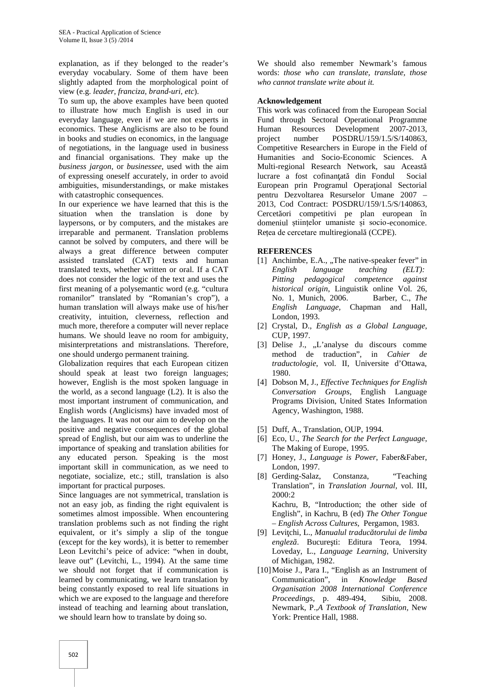explanation, as if they belonged to the reader's everyday vocabulary. Some of them have been slightly adapted from the morphological point of view (e.g. *leader, franciza, brand-uri, etc*).

To sum up, the above examples have been quoted to illustrate how much English is used in our everyday language, even if we are not experts in economics. These Anglicisms are also to be found in books and studies on economics, in the language of negotiations, in the language used in business and financial organisations. They make up the *business jargon*, or *businessee*, used with the aim of expressing oneself accurately, in order to avoid ambiguities, misunderstandings, or make mistakes with catastrophic consequences.

In our experience we have learned that this is the situation when the translation is done by laypersons, or by computers, and the mistakes are irreparable and permanent. Translation problems cannot be solved by computers, and there will be always a great difference between computer assisted translated (CAT) texts and human translated texts, whether written or oral. If a CAT does not consider the logic of the text and uses the first meaning of a polysemantic word (e.g. "cultura romanilor" translated by "Romanian's crop"), a human translation will always make use of his/her creativity, intuition, cleverness, reflection and much more, therefore a computer will never replace humans. We should leave no room for ambiguity, misinterpretations and mistranslations. Therefore, one should undergo permanent training.

Globalization requires that each European citizen should speak at least two foreign languages; however, English is the most spoken language in the world, as a second language (L2). It is also the most important instrument of communication, and English words (Anglicisms) have invaded most of the languages. It was not our aim to develop on the positive and negative consequences of the global spread of English, but our aim was to underline the importance of speaking and translation abilities for any educated person. Speaking is the most important skill in communication, as we need to negotiate, socialize, etc.; still, translation is also important for practical purposes.

Since languages are not symmetrical, translation is not an easy job, as finding the right equivalent is sometimes almost impossible. When encountering translation problems such as not finding the right equivalent, or it's simply a slip of the tongue (except for the key words), it is better to remember Leon Levitchi's peice of advice: "when in doubt, leave out" (Levitchi, L., 1994). At the same time we should not forget that if communication is learned by communicating, we learn translation by being constantly exposed to real life situations in which we are exposed to the language and therefore instead of teaching and learning about translation, we should learn how to translate by doing so.

We should also remember Newmark's famous words: *those who can translate, translate, those who cannot translate write about it.*

## **Acknowledgement**

This work was cofinaced from the European Social Fund through Sectoral Operational Programme Resources Development 2007-2013, project number POSDRU/159/1.5/S/140863, Competitive Researchers in Europe in the Field of Humanities and Socio-Economic Sciences. A Multi-regional Research Network, sau Această lucrare a fost cofinan at din Fondul Social European prin Programul Opera ional Sectorial pentru Dezvoltarea Resurselor Umane 2007 – 2013, Cod Contract: POSDRU/159/1.5/S/140863, Cercet ori competitivi pe plan european în domeniul științelor umaniste și socio-economice. Rețea de cercetare multiregional (CCPE).

## **REFERENCES**

- [1] Anchimbe, E.A., "The native-speaker fever" in *English language teaching (ELT): Pitting pedagogical competence against historical origin*, Linguistik online Vol. 26, No. 1, Munich, 2006. Barber, C., *The English Language,* Chapman and Hall, London, 1993.
- [2] Crystal, D., *English as a Global Language*, CUP, 1997.
- [3] Delise J., "L'analyse du discours comme method de traduction", in *Cahier de traductologie*, vol. II, Universite d'Ottawa, 1980.
- [4] Dobson M, J., *Effective Techniques for English Conversation Groups*, English Language Programs Division, United States Information Agency, Washington, 1988.
- [5] Duff, A., Translation, OUP, 1994.
- [6] Eco, U., *The Search for the Perfect Language,* The Making of Europe, 1995.
- [7] Honey, J., *Language is Power*, Faber&Faber, London, 1997.
- [8] Gerding-Salaz, Constanza, "Teaching Translation", in *Translation Journal,* vol. III, 2000:2 Kachru, B, "Introduction; the other side of English", in Kachru, B (ed) *The Other Tongue – English Across Cultures*, Pergamon, 1983.
- [9] Levi chi, L., *Manualul traduc torului de limba englez*. Bucure ti: Editura Teora, 1994. Loveday, L., *Language Learning,* University of Michigan, 1982.
- [10]Moise J., Para I., "English as an Instrument of Communication", in *Knowledge Based Organisation 2008 International Conference Proceedings*, p. 489-494, Sibiu, 2008. Newmark, P.,*A Textbook of Translation,* New York: Prentice Hall, 1988.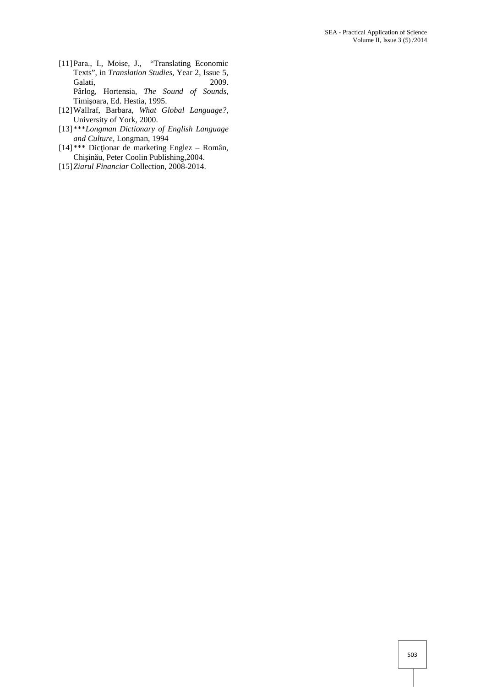- [11]Para., I., Moise, J., "Translating Economic Texts", in *Translation Studies*, Year 2, Issue 5, Galati, 2009. Pârlog, Hortensia, *The Sound of Sounds,* Timi oara, Ed. Hestia, 1995.
- [12]Wallraf, Barbara, *What Global Language?,* University of York, 2000.
- [13] \*\*\**Longman Dictionary of English Language and Culture,* Longman, 1994
- $[14]$ <sup>\*\*\*</sup> Dic ionar de marketing Englez Român, Chi in u, Peter Coolin Publishing, 2004.
- [15]*Ziarul Financiar* Collection, 2008-2014.